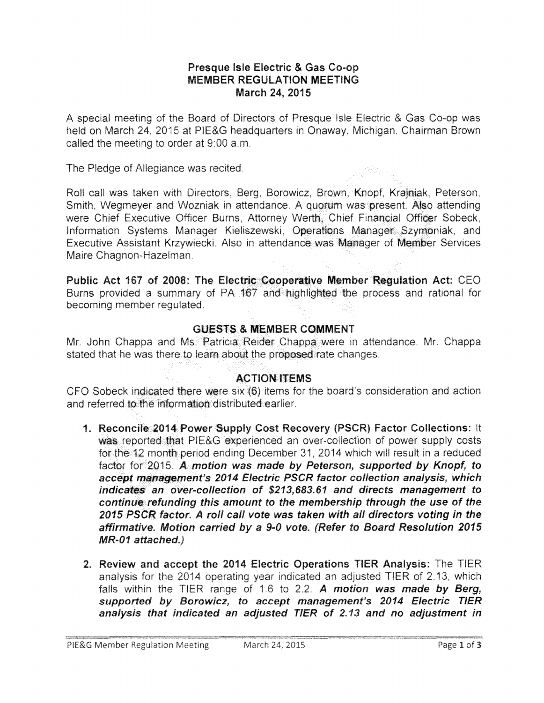## Presque Isle Electric & Gas MEMBER REGULATION MEETING March 24, 2015

A special meeting of the Board of Directors of Presque Isle Electric & Gas Co-op was held on March 24, 2015 at PIE&G headquarters in Onaway, Michigan, Chairman Brown called the meeting to order at 9:00 a.m.

The Pledge of Allegiance was recited.

Roll call was taken with Directors, Berg, Borowicz, Brown, Knopf, Krajniak, Peterson, Smith, Wegmeyer and Wozniak in attendance. A quorum was present. Also attending were Chief Executive Officer Burns, Attorney Werth, Chief Financial Officer Sobeck, Information Systems Manager Kieliszewski, Operations Manager Szymoniak, and Executive Assistant Krzywiecki. Also in attendance was Manager of Member Services Maire Chagnon-Hazelman.

Public Act 167 of 2008: The Electric Cooperative Member Regulation Act: CEO Burns provided a summary of PA 167 and highlighted the process and rational for becoming member requlated.

## GUESTS & MEMBER COMMENT

Mr. John Chappa and Ms. Patricia Reider Chappa were in attendance. Mr. Chappa stated that he was there to learn about the proposed rate changes.

## ACTION ITEMS

CFO Sobeck indicated there were six (6) items for the board's consideration and action and referred to the information distributed earlier.

- 1. Reconcile 2014 Power Supply Cost Recovery (PSCR) Factor Collections: It was reported that PIE&G experienced an over-collection of power supply costs for the 12 month period ending December 31, 2014 which will result in a reduced factor for 2015. A motion was made by Peterson, supported by Knopf, to accept management's 2014 Electric PSCR factor collection analysis, which indicates an over-collection of \$213,683.61 and directs management to continue refunding this amount to the membership through the use of the 2015 PSCR factor. A roll call vote was taken with all directors voting in the affirmative, Motion carried by a 9-0 vote. (Refer to Board Resolution 2015 MR-01 attached.)
- 2. Review and accept the 2014 Electric Operations TIER Analysis: The TIER analysis for the 2014 operating year indicated an adjusted TIER of 2.13, which falls within the TIER range of 1.6 to 2.2. A motion was made by Berg, supported by Borowicz, to accept management's 2014 Electric TIER analysis that indicated an adjusted TIER of 2.13 and no adjustment in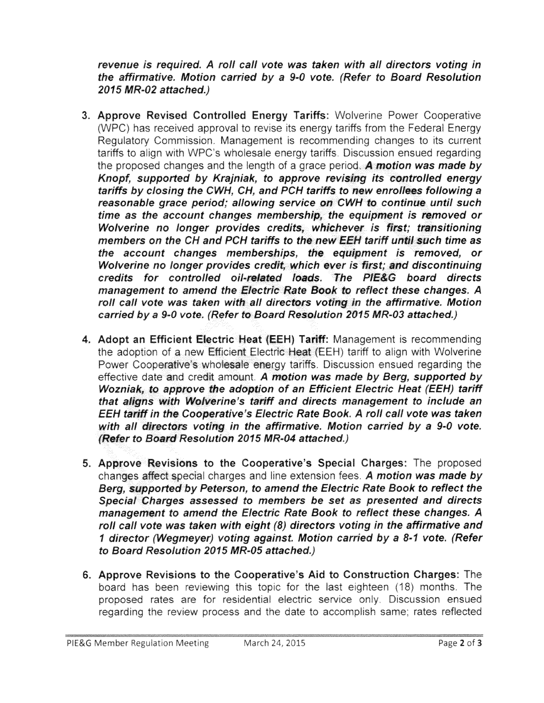revenue is required. A roll call vote was taken with all directors voting in the affirmative. Motion carried by a 9-0 vote. (Refer to Board Resolution 2015 MR-02 attached.)

- 3. Approve Revised Controlled Energy Tariffs: Wolverine Power Cooperative (WPC) has received approval to revise its energy tariffs from the Federal Energy Regulatory Commission. Management is recommending changes to its current tariffs to align with WPC's wholesale energy tariffs. Discussion ensued regarding the proposed changes and the length of a grace period. A motion was made by Knopf, supported by Krainiak, to approve revising its controlled energy tariffs by closing the CWH, CH, and PCH tariffs to new enrollees following a reasonable grace period; allowing service on CWH to continue until such time as the account changes membership, the equipment is removed or Wolverine no longer provides credits, whichever is first; transitioning members on the CH and PCH tariffs to the new EEH tariff until such time as the account changes memberships, the equipment is removed, or Wolverine no longer provides credit, which ever is first; and discontinuing credits for controlled oil-related loads. The PIE&G board directs management to amend the Electric Rate Book to reflect these changes. A roll call vote was taken with all directors voting in the affirmative. Motion carried by a 9-0 vote. (Refer to Board Resolution 2015 MR-03 attached.)
- 4. Adopt an Efficient Electric Heat (EEH) Tariff: Management is recommending the adoption of a new Efficient Electric Heat (EEH) tariff to align with Wolverine Power Cooperative's wholesale energy tariffs. Discussion ensued regarding the effective date and credit amount. A motion was made by Berg, supported by Wozniak, to approve the adoption of an Efficient Electric Heat (EEH) tariff that aligns with Wolverine's tariff and directs management to include an EEH tariff in the Cooperative's Electric Rate Book. A roll call vote was taken with all directors voting in the affirmative. Motion carried by a 9-0 vote. (Refer to Board Resolution 2015 MR-04 attached.)
- 5. Approve Revisions to the Cooperative's Special Charges: The proposed changes affect special charges and line extension fees. A motion was made by Berg, supported by Peterson, to amend the Electric Rate Book to reflect the Special Charges assessed to members be set as presented and directs management to amend the Electric Rate Book to reflect these changes. A roll call vote was taken with eight (8) directors voting in the affirmative and 1 director (Wegmeyer) voting against. Motion carried by a 8-1 vote. (Refer to Board Resolution 2015 MR-05 attached.)
- 6. Approve Revisions to the Cooperative's Aid to Construction Charges: The board has been reviewing this topic for the last eighteen (18) months. The proposed rates are for residential electric service only. Discussion ensued regarding the review process and the date to accomplish same; rates reflected